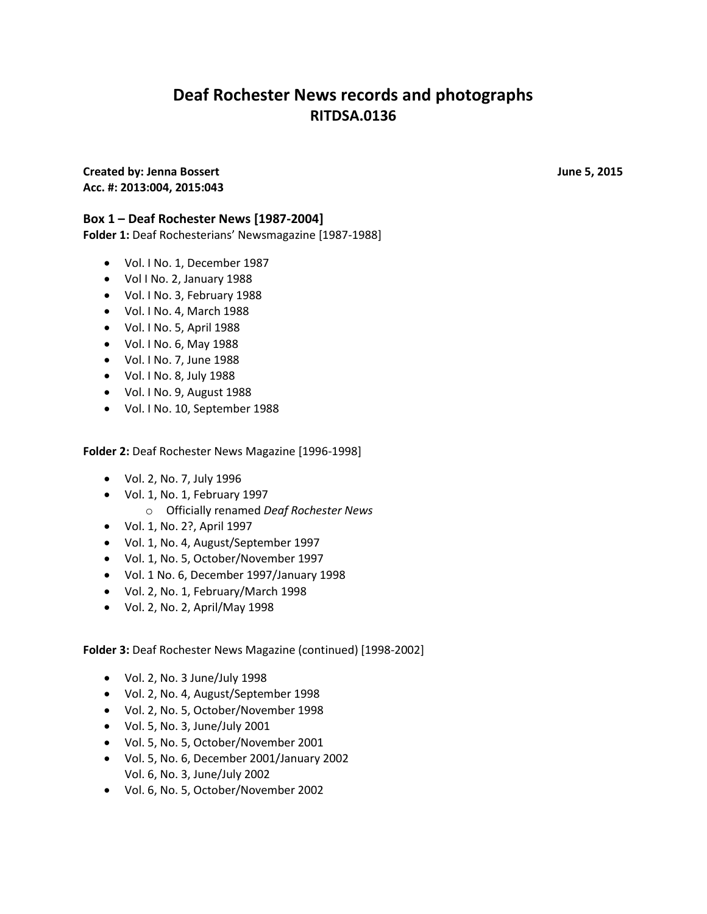# **Deaf Rochester News records and photographs RITDSA.0136**

**Created by: Jenna Bossert Created by: June 5, 2015 Acc. #: 2013:004, 2015:043**

### **Box 1 – Deaf Rochester News [1987-2004]**

**Folder 1:** Deaf Rochesterians' Newsmagazine [1987-1988]

- Vol. I No. 1, December 1987
- Vol I No. 2, January 1988
- Vol. I No. 3, February 1988
- Vol. I No. 4, March 1988
- Vol. I No. 5, April 1988
- Vol. I No. 6, May 1988
- Vol. I No. 7, June 1988
- Vol. I No. 8, July 1988
- Vol. I No. 9, August 1988
- Vol. I No. 10, September 1988

**Folder 2:** Deaf Rochester News Magazine [1996-1998]

- Vol. 2, No. 7, July 1996
- Vol. 1, No. 1, February 1997
	- o Officially renamed *Deaf Rochester News*
- Vol. 1, No. 2?, April 1997
- Vol. 1, No. 4, August/September 1997
- Vol. 1, No. 5, October/November 1997
- Vol. 1 No. 6, December 1997/January 1998
- Vol. 2, No. 1, February/March 1998
- Vol. 2, No. 2, April/May 1998

**Folder 3:** Deaf Rochester News Magazine (continued) [1998-2002]

- Vol. 2, No. 3 June/July 1998
- Vol. 2, No. 4, August/September 1998
- Vol. 2, No. 5, October/November 1998
- Vol. 5, No. 3, June/July 2001
- Vol. 5, No. 5, October/November 2001
- Vol. 5, No. 6, December 2001/January 2002 Vol. 6, No. 3, June/July 2002
- Vol. 6, No. 5, October/November 2002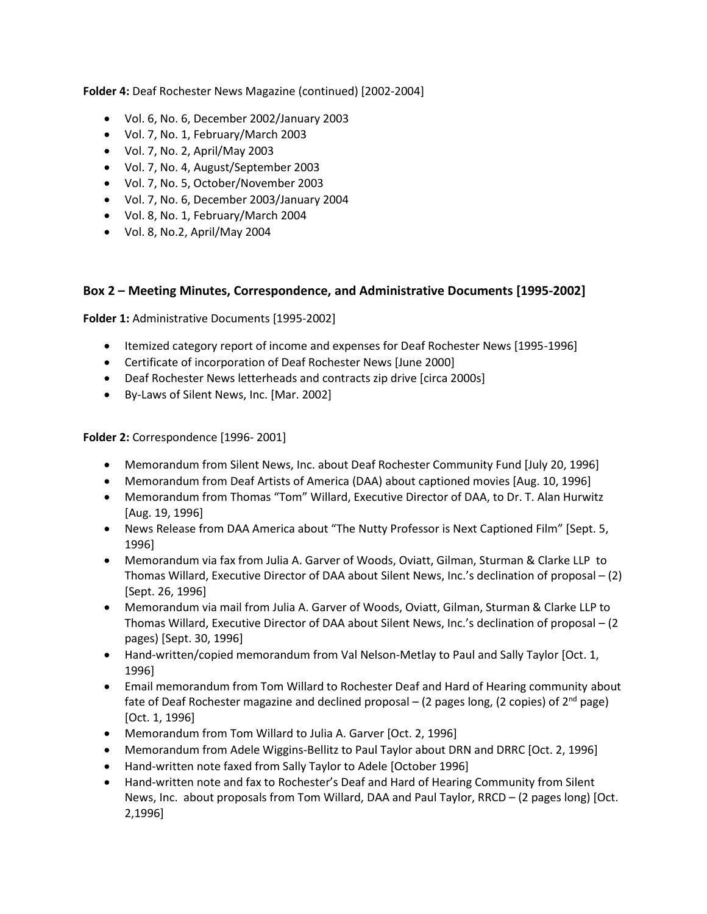**Folder 4:** Deaf Rochester News Magazine (continued) [2002-2004]

- Vol. 6, No. 6, December 2002/January 2003
- Vol. 7, No. 1, February/March 2003
- Vol. 7, No. 2, April/May 2003
- Vol. 7, No. 4, August/September 2003
- Vol. 7, No. 5, October/November 2003
- Vol. 7, No. 6, December 2003/January 2004
- Vol. 8, No. 1, February/March 2004
- Vol. 8, No.2, April/May 2004

#### **Box 2 – Meeting Minutes, Correspondence, and Administrative Documents [1995-2002]**

**Folder 1:** Administrative Documents [1995-2002]

- Itemized category report of income and expenses for Deaf Rochester News [1995-1996]
- Certificate of incorporation of Deaf Rochester News [June 2000]
- Deaf Rochester News letterheads and contracts zip drive [circa 2000s]
- By-Laws of Silent News, Inc. [Mar. 2002]

**Folder 2:** Correspondence [1996- 2001]

- Memorandum from Silent News, Inc. about Deaf Rochester Community Fund [July 20, 1996]
- Memorandum from Deaf Artists of America (DAA) about captioned movies [Aug. 10, 1996]
- Memorandum from Thomas "Tom" Willard, Executive Director of DAA, to Dr. T. Alan Hurwitz [Aug. 19, 1996]
- News Release from DAA America about "The Nutty Professor is Next Captioned Film" [Sept. 5, 1996]
- Memorandum via fax from Julia A. Garver of Woods, Oviatt, Gilman, Sturman & Clarke LLP to Thomas Willard, Executive Director of DAA about Silent News, Inc.'s declination of proposal – (2) [Sept. 26, 1996]
- Memorandum via mail from Julia A. Garver of Woods, Oviatt, Gilman, Sturman & Clarke LLP to Thomas Willard, Executive Director of DAA about Silent News, Inc.'s declination of proposal – (2 pages) [Sept. 30, 1996]
- Hand-written/copied memorandum from Val Nelson-Metlay to Paul and Sally Taylor [Oct. 1, 1996]
- Email memorandum from Tom Willard to Rochester Deaf and Hard of Hearing community about fate of Deaf Rochester magazine and declined proposal – (2 pages long, (2 copies) of  $2^{nd}$  page) [Oct. 1, 1996]
- Memorandum from Tom Willard to Julia A. Garver [Oct. 2, 1996]
- Memorandum from Adele Wiggins-Bellitz to Paul Taylor about DRN and DRRC [Oct. 2, 1996]
- Hand-written note faxed from Sally Taylor to Adele [October 1996]
- Hand-written note and fax to Rochester's Deaf and Hard of Hearing Community from Silent News, Inc. about proposals from Tom Willard, DAA and Paul Taylor, RRCD – (2 pages long) [Oct. 2,1996]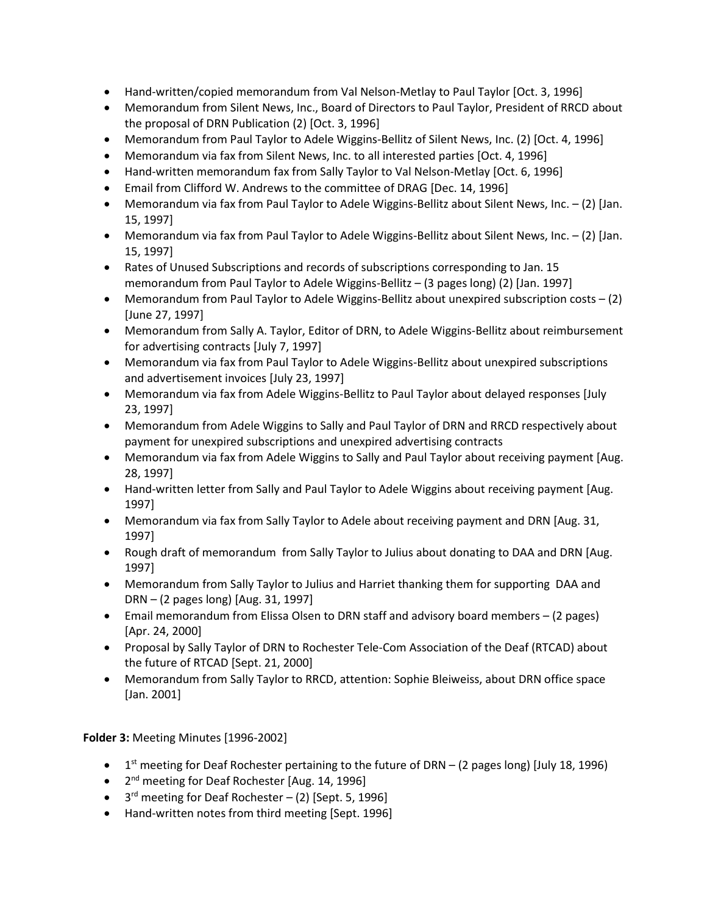- Hand-written/copied memorandum from Val Nelson-Metlay to Paul Taylor [Oct. 3, 1996]
- Memorandum from Silent News, Inc., Board of Directors to Paul Taylor, President of RRCD about the proposal of DRN Publication (2) [Oct. 3, 1996]
- Memorandum from Paul Taylor to Adele Wiggins-Bellitz of Silent News, Inc. (2) [Oct. 4, 1996]
- Memorandum via fax from Silent News, Inc. to all interested parties [Oct. 4, 1996]
- Hand-written memorandum fax from Sally Taylor to Val Nelson-Metlay [Oct. 6, 1996]
- Email from Clifford W. Andrews to the committee of DRAG [Dec. 14, 1996]
- **Memorandum via fax from Paul Taylor to Adele Wiggins-Bellitz about Silent News, Inc. (2) [Jan.** 15, 1997]
- **Memorandum via fax from Paul Taylor to Adele Wiggins-Bellitz about Silent News, Inc. (2) [Jan.** 15, 1997]
- Rates of Unused Subscriptions and records of subscriptions corresponding to Jan. 15 memorandum from Paul Taylor to Adele Wiggins-Bellitz – (3 pages long) (2) [Jan. 1997]
- Memorandum from Paul Taylor to Adele Wiggins-Bellitz about unexpired subscription costs (2) [June 27, 1997]
- Memorandum from Sally A. Taylor, Editor of DRN, to Adele Wiggins-Bellitz about reimbursement for advertising contracts [July 7, 1997]
- Memorandum via fax from Paul Taylor to Adele Wiggins-Bellitz about unexpired subscriptions and advertisement invoices [July 23, 1997]
- Memorandum via fax from Adele Wiggins-Bellitz to Paul Taylor about delayed responses [July 23, 1997]
- Memorandum from Adele Wiggins to Sally and Paul Taylor of DRN and RRCD respectively about payment for unexpired subscriptions and unexpired advertising contracts
- Memorandum via fax from Adele Wiggins to Sally and Paul Taylor about receiving payment [Aug. 28, 1997]
- Hand-written letter from Sally and Paul Taylor to Adele Wiggins about receiving payment [Aug. 1997]
- Memorandum via fax from Sally Taylor to Adele about receiving payment and DRN [Aug. 31, 1997]
- Rough draft of memorandum from Sally Taylor to Julius about donating to DAA and DRN [Aug. 1997]
- Memorandum from Sally Taylor to Julius and Harriet thanking them for supporting DAA and DRN – (2 pages long) [Aug. 31, 1997]
- Email memorandum from Elissa Olsen to DRN staff and advisory board members (2 pages) [Apr. 24, 2000]
- Proposal by Sally Taylor of DRN to Rochester Tele-Com Association of the Deaf (RTCAD) about the future of RTCAD [Sept. 21, 2000]
- Memorandum from Sally Taylor to RRCD, attention: Sophie Bleiweiss, about DRN office space [Jan. 2001]

## **Folder 3:** Meeting Minutes [1996-2002]

- 1<sup>st</sup> meeting for Deaf Rochester pertaining to the future of DRN (2 pages long) [July 18, 1996)
- 2<sup>nd</sup> meeting for Deaf Rochester [Aug. 14, 1996]
- 3<sup>rd</sup> meeting for Deaf Rochester (2) [Sept. 5, 1996]
- Hand-written notes from third meeting [Sept. 1996]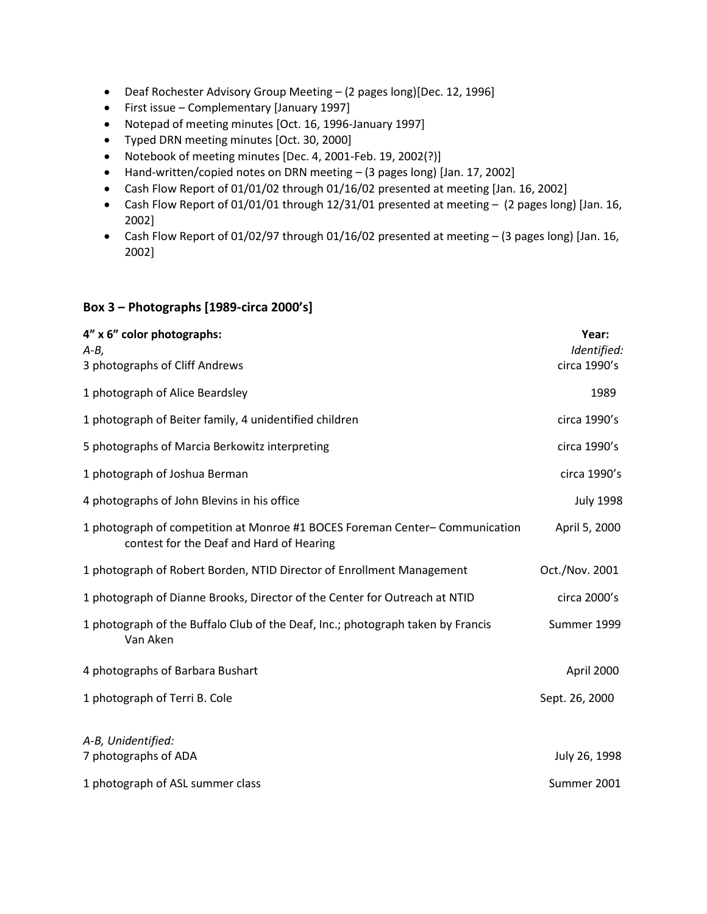- Deaf Rochester Advisory Group Meeting (2 pages long)[Dec. 12, 1996]
- First issue Complementary [January 1997]
- Notepad of meeting minutes [Oct. 16, 1996-January 1997]
- Typed DRN meeting minutes [Oct. 30, 2000]
- Notebook of meeting minutes [Dec. 4, 2001-Feb. 19, 2002(?)]
- Hand-written/copied notes on DRN meeting (3 pages long) [Jan. 17, 2002]
- Cash Flow Report of 01/01/02 through 01/16/02 presented at meeting [Jan. 16, 2002]
- Cash Flow Report of 01/01/01 through 12/31/01 presented at meeting (2 pages long) [Jan. 16, 2002]
- Cash Flow Report of 01/02/97 through 01/16/02 presented at meeting (3 pages long) [Jan. 16, 2002]

#### **Box 3 – Photographs [1989-circa 2000's]**

| 4" x 6" color photographs:<br>$A - B$ ,<br>3 photographs of Cliff Andrews                                               | Year:<br>Identified:<br>circa 1990's |
|-------------------------------------------------------------------------------------------------------------------------|--------------------------------------|
| 1 photograph of Alice Beardsley                                                                                         | 1989                                 |
| 1 photograph of Beiter family, 4 unidentified children                                                                  | circa 1990's                         |
| 5 photographs of Marcia Berkowitz interpreting                                                                          | circa 1990's                         |
| 1 photograph of Joshua Berman                                                                                           | circa 1990's                         |
| 4 photographs of John Blevins in his office                                                                             | <b>July 1998</b>                     |
| 1 photograph of competition at Monroe #1 BOCES Foreman Center-Communication<br>contest for the Deaf and Hard of Hearing | April 5, 2000                        |
| 1 photograph of Robert Borden, NTID Director of Enrollment Management                                                   | Oct./Nov. 2001                       |
| 1 photograph of Dianne Brooks, Director of the Center for Outreach at NTID                                              | circa 2000's                         |
| 1 photograph of the Buffalo Club of the Deaf, Inc.; photograph taken by Francis<br>Van Aken                             | Summer 1999                          |
| 4 photographs of Barbara Bushart                                                                                        | April 2000                           |
| 1 photograph of Terri B. Cole                                                                                           | Sept. 26, 2000                       |
| A-B, Unidentified:<br>7 photographs of ADA                                                                              | July 26, 1998                        |
| 1 photograph of ASL summer class                                                                                        | Summer 2001                          |
|                                                                                                                         |                                      |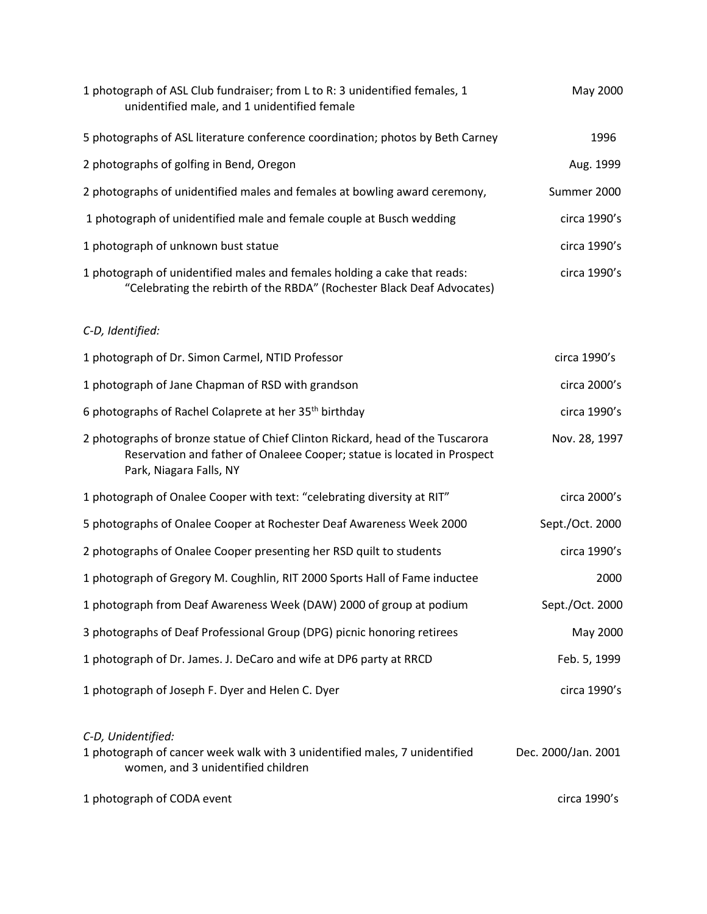| 1 photograph of ASL Club fundraiser; from L to R: 3 unidentified females, 1<br>unidentified male, and 1 unidentified female                                                          | May 2000            |
|--------------------------------------------------------------------------------------------------------------------------------------------------------------------------------------|---------------------|
| 5 photographs of ASL literature conference coordination; photos by Beth Carney                                                                                                       | 1996                |
| 2 photographs of golfing in Bend, Oregon                                                                                                                                             | Aug. 1999           |
| 2 photographs of unidentified males and females at bowling award ceremony,                                                                                                           | Summer 2000         |
| 1 photograph of unidentified male and female couple at Busch wedding                                                                                                                 | circa 1990's        |
| 1 photograph of unknown bust statue                                                                                                                                                  | circa 1990's        |
| 1 photograph of unidentified males and females holding a cake that reads:<br>"Celebrating the rebirth of the RBDA" (Rochester Black Deaf Advocates)                                  | circa 1990's        |
| C-D, Identified:                                                                                                                                                                     |                     |
| 1 photograph of Dr. Simon Carmel, NTID Professor                                                                                                                                     | circa 1990's        |
| 1 photograph of Jane Chapman of RSD with grandson                                                                                                                                    | circa 2000's        |
| 6 photographs of Rachel Colaprete at her 35 <sup>th</sup> birthday                                                                                                                   | circa 1990's        |
| 2 photographs of bronze statue of Chief Clinton Rickard, head of the Tuscarora<br>Reservation and father of Onaleee Cooper; statue is located in Prospect<br>Park, Niagara Falls, NY | Nov. 28, 1997       |
| 1 photograph of Onalee Cooper with text: "celebrating diversity at RIT"                                                                                                              | circa 2000's        |
| 5 photographs of Onalee Cooper at Rochester Deaf Awareness Week 2000                                                                                                                 | Sept./Oct. 2000     |
| 2 photographs of Onalee Cooper presenting her RSD quilt to students                                                                                                                  | circa 1990's        |
| 1 photograph of Gregory M. Coughlin, RIT 2000 Sports Hall of Fame inductee                                                                                                           | 2000                |
| 1 photograph from Deaf Awareness Week (DAW) 2000 of group at podium                                                                                                                  | Sept./Oct. 2000     |
| 3 photographs of Deaf Professional Group (DPG) picnic honoring retirees                                                                                                              | May 2000            |
| 1 photograph of Dr. James. J. DeCaro and wife at DP6 party at RRCD                                                                                                                   | Feb. 5, 1999        |
| 1 photograph of Joseph F. Dyer and Helen C. Dyer                                                                                                                                     | circa 1990's        |
| C-D, Unidentified:<br>1 photograph of cancer week walk with 3 unidentified males, 7 unidentified<br>women, and 3 unidentified children                                               | Dec. 2000/Jan. 2001 |
| 1 photograph of CODA event                                                                                                                                                           | circa 1990's        |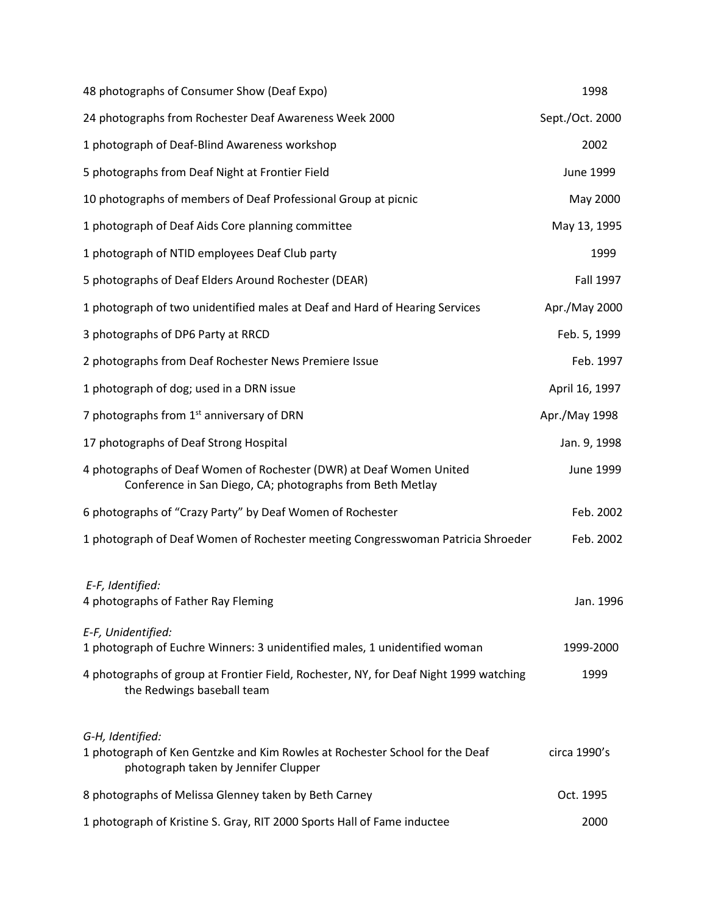| 48 photographs of Consumer Show (Deaf Expo)                                                                                             | 1998             |
|-----------------------------------------------------------------------------------------------------------------------------------------|------------------|
| 24 photographs from Rochester Deaf Awareness Week 2000                                                                                  | Sept./Oct. 2000  |
| 1 photograph of Deaf-Blind Awareness workshop                                                                                           | 2002             |
| 5 photographs from Deaf Night at Frontier Field                                                                                         | June 1999        |
| 10 photographs of members of Deaf Professional Group at picnic                                                                          | May 2000         |
| 1 photograph of Deaf Aids Core planning committee                                                                                       | May 13, 1995     |
| 1 photograph of NTID employees Deaf Club party                                                                                          | 1999             |
| 5 photographs of Deaf Elders Around Rochester (DEAR)                                                                                    | <b>Fall 1997</b> |
| 1 photograph of two unidentified males at Deaf and Hard of Hearing Services                                                             | Apr./May 2000    |
| 3 photographs of DP6 Party at RRCD                                                                                                      | Feb. 5, 1999     |
| 2 photographs from Deaf Rochester News Premiere Issue                                                                                   | Feb. 1997        |
| 1 photograph of dog; used in a DRN issue                                                                                                | April 16, 1997   |
| 7 photographs from 1 <sup>st</sup> anniversary of DRN                                                                                   | Apr./May 1998    |
| 17 photographs of Deaf Strong Hospital                                                                                                  | Jan. 9, 1998     |
| 4 photographs of Deaf Women of Rochester (DWR) at Deaf Women United<br>Conference in San Diego, CA; photographs from Beth Metlay        | June 1999        |
| 6 photographs of "Crazy Party" by Deaf Women of Rochester                                                                               | Feb. 2002        |
| 1 photograph of Deaf Women of Rochester meeting Congresswoman Patricia Shroeder                                                         | Feb. 2002        |
| E-F, Identified:<br>4 photographs of Father Ray Fleming                                                                                 | Jan. 1996        |
| E-F, Unidentified:<br>1 photograph of Euchre Winners: 3 unidentified males, 1 unidentified woman                                        | 1999-2000        |
| 4 photographs of group at Frontier Field, Rochester, NY, for Deaf Night 1999 watching<br>the Redwings baseball team                     | 1999             |
| G-H, Identified:<br>1 photograph of Ken Gentzke and Kim Rowles at Rochester School for the Deaf<br>photograph taken by Jennifer Clupper | circa 1990's     |
| 8 photographs of Melissa Glenney taken by Beth Carney                                                                                   | Oct. 1995        |
| 1 photograph of Kristine S. Gray, RIT 2000 Sports Hall of Fame inductee                                                                 | 2000             |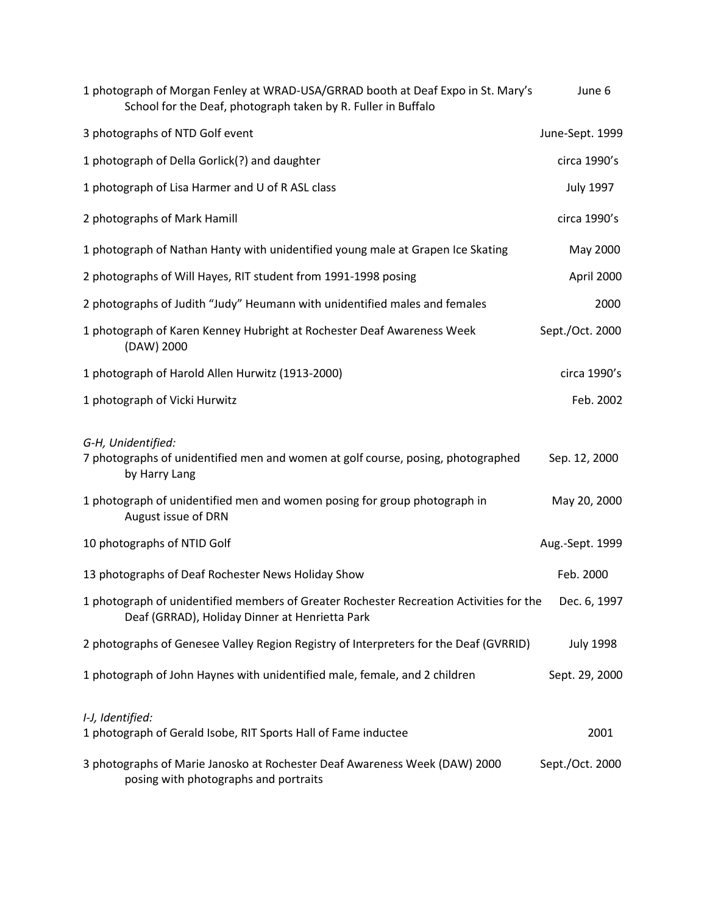| 1 photograph of Morgan Fenley at WRAD-USA/GRRAD booth at Deaf Expo in St. Mary's<br>School for the Deaf, photograph taken by R. Fuller in Buffalo | June 6           |
|---------------------------------------------------------------------------------------------------------------------------------------------------|------------------|
| 3 photographs of NTD Golf event                                                                                                                   | June-Sept. 1999  |
| 1 photograph of Della Gorlick(?) and daughter                                                                                                     | circa 1990's     |
| 1 photograph of Lisa Harmer and U of R ASL class                                                                                                  | <b>July 1997</b> |
| 2 photographs of Mark Hamill                                                                                                                      | circa 1990's     |
| 1 photograph of Nathan Hanty with unidentified young male at Grapen Ice Skating                                                                   | May 2000         |
| 2 photographs of Will Hayes, RIT student from 1991-1998 posing                                                                                    | April 2000       |
| 2 photographs of Judith "Judy" Heumann with unidentified males and females                                                                        | 2000             |
| 1 photograph of Karen Kenney Hubright at Rochester Deaf Awareness Week<br>(DAW) 2000                                                              | Sept./Oct. 2000  |
| 1 photograph of Harold Allen Hurwitz (1913-2000)                                                                                                  | circa 1990's     |
| 1 photograph of Vicki Hurwitz                                                                                                                     | Feb. 2002        |
| G-H, Unidentified:<br>7 photographs of unidentified men and women at golf course, posing, photographed<br>by Harry Lang                           | Sep. 12, 2000    |
| 1 photograph of unidentified men and women posing for group photograph in<br>August issue of DRN                                                  | May 20, 2000     |
| 10 photographs of NTID Golf                                                                                                                       | Aug.-Sept. 1999  |
| 13 photographs of Deaf Rochester News Holiday Show                                                                                                | Feb. 2000        |
| 1 photograph of unidentified members of Greater Rochester Recreation Activities for the<br>Deaf (GRRAD), Holiday Dinner at Henrietta Park         | Dec. 6, 1997     |
| 2 photographs of Genesee Valley Region Registry of Interpreters for the Deaf (GVRRID)                                                             | <b>July 1998</b> |
| 1 photograph of John Haynes with unidentified male, female, and 2 children                                                                        | Sept. 29, 2000   |
| I-J, Identified:<br>1 photograph of Gerald Isobe, RIT Sports Hall of Fame inductee                                                                | 2001             |
| 3 photographs of Marie Janosko at Rochester Deaf Awareness Week (DAW) 2000<br>posing with photographs and portraits                               | Sept./Oct. 2000  |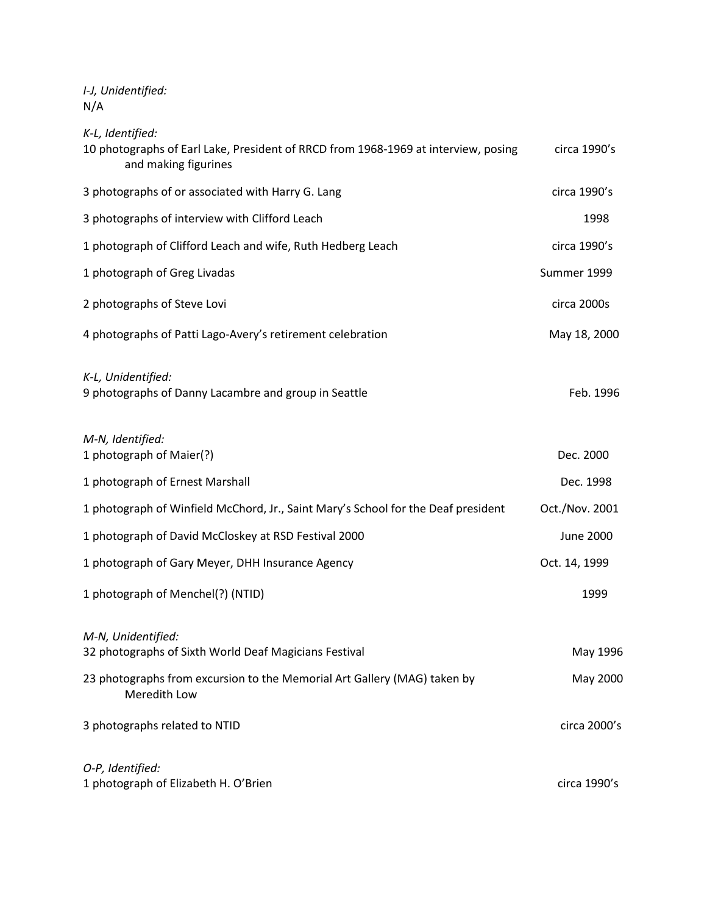*I-J, Unidentified:* N/A

*K-L, Identified:*

| 10 photographs of Earl Lake, President of RRCD from 1968-1969 at interview, posing<br>and making figurines | circa 1990's     |
|------------------------------------------------------------------------------------------------------------|------------------|
| 3 photographs of or associated with Harry G. Lang                                                          | circa 1990's     |
| 3 photographs of interview with Clifford Leach                                                             | 1998             |
| 1 photograph of Clifford Leach and wife, Ruth Hedberg Leach                                                | circa 1990's     |
| 1 photograph of Greg Livadas                                                                               | Summer 1999      |
| 2 photographs of Steve Lovi                                                                                | circa 2000s      |
| 4 photographs of Patti Lago-Avery's retirement celebration                                                 | May 18, 2000     |
| K-L, Unidentified:<br>9 photographs of Danny Lacambre and group in Seattle                                 | Feb. 1996        |
| M-N, Identified:<br>1 photograph of Maier(?)                                                               | Dec. 2000        |
| 1 photograph of Ernest Marshall                                                                            | Dec. 1998        |
| 1 photograph of Winfield McChord, Jr., Saint Mary's School for the Deaf president                          | Oct./Nov. 2001   |
| 1 photograph of David McCloskey at RSD Festival 2000                                                       | <b>June 2000</b> |
| 1 photograph of Gary Meyer, DHH Insurance Agency                                                           | Oct. 14, 1999    |
| 1 photograph of Menchel(?) (NTID)                                                                          | 1999             |
| M-N, Unidentified:<br>32 photographs of Sixth World Deaf Magicians Festival                                | May 1996         |
| 23 photographs from excursion to the Memorial Art Gallery (MAG) taken by<br>Meredith Low                   | May 2000         |
| 3 photographs related to NTID                                                                              | circa 2000's     |
| O-P, Identified:<br>1 photograph of Elizabeth H. O'Brien                                                   | circa 1990's     |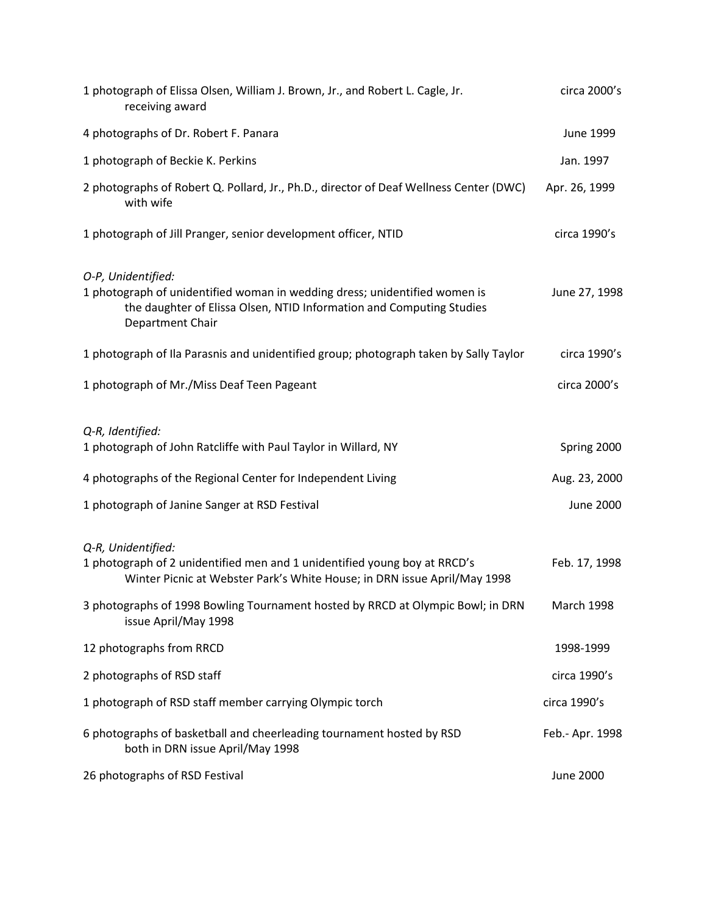| 1 photograph of Elissa Olsen, William J. Brown, Jr., and Robert L. Cagle, Jr.<br>receiving award                                                                                             | circa 2000's      |
|----------------------------------------------------------------------------------------------------------------------------------------------------------------------------------------------|-------------------|
| 4 photographs of Dr. Robert F. Panara                                                                                                                                                        | June 1999         |
| 1 photograph of Beckie K. Perkins                                                                                                                                                            | Jan. 1997         |
| 2 photographs of Robert Q. Pollard, Jr., Ph.D., director of Deaf Wellness Center (DWC)<br>with wife                                                                                          | Apr. 26, 1999     |
| 1 photograph of Jill Pranger, senior development officer, NTID                                                                                                                               | circa 1990's      |
| O-P, Unidentified:<br>1 photograph of unidentified woman in wedding dress; unidentified women is<br>the daughter of Elissa Olsen, NTID Information and Computing Studies<br>Department Chair | June 27, 1998     |
| 1 photograph of Ila Parasnis and unidentified group; photograph taken by Sally Taylor                                                                                                        | circa 1990's      |
| 1 photograph of Mr./Miss Deaf Teen Pageant                                                                                                                                                   | circa 2000's      |
| Q-R, Identified:<br>1 photograph of John Ratcliffe with Paul Taylor in Willard, NY                                                                                                           | Spring 2000       |
| 4 photographs of the Regional Center for Independent Living                                                                                                                                  | Aug. 23, 2000     |
| 1 photograph of Janine Sanger at RSD Festival                                                                                                                                                | <b>June 2000</b>  |
| Q-R, Unidentified:<br>1 photograph of 2 unidentified men and 1 unidentified young boy at RRCD's<br>Winter Picnic at Webster Park's White House; in DRN issue April/May 1998                  | Feb. 17, 1998     |
| 3 photographs of 1998 Bowling Tournament hosted by RRCD at Olympic Bowl; in DRN<br>issue April/May 1998                                                                                      | <b>March 1998</b> |
| 12 photographs from RRCD                                                                                                                                                                     | 1998-1999         |
| 2 photographs of RSD staff                                                                                                                                                                   | circa 1990's      |
| 1 photograph of RSD staff member carrying Olympic torch                                                                                                                                      | circa 1990's      |
| 6 photographs of basketball and cheerleading tournament hosted by RSD<br>both in DRN issue April/May 1998                                                                                    | Feb.- Apr. 1998   |
| 26 photographs of RSD Festival                                                                                                                                                               | <b>June 2000</b>  |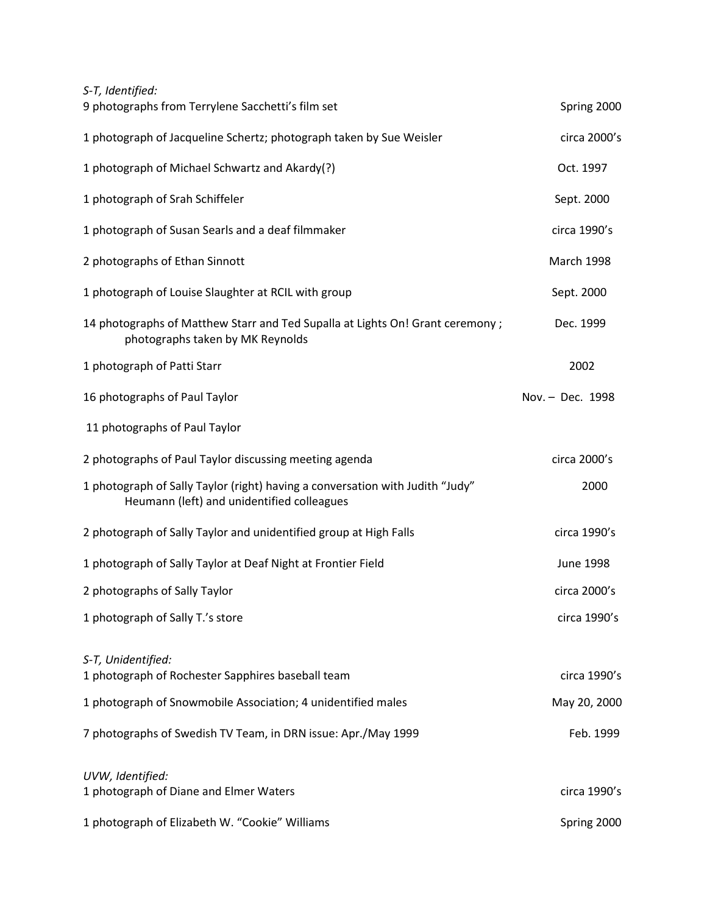| S-T, Identified:                                                                                                            |                   |
|-----------------------------------------------------------------------------------------------------------------------------|-------------------|
| 9 photographs from Terrylene Sacchetti's film set                                                                           | Spring 2000       |
| 1 photograph of Jacqueline Schertz; photograph taken by Sue Weisler                                                         | circa 2000's      |
| 1 photograph of Michael Schwartz and Akardy(?)                                                                              | Oct. 1997         |
| 1 photograph of Srah Schiffeler                                                                                             | Sept. 2000        |
| 1 photograph of Susan Searls and a deaf filmmaker                                                                           | circa 1990's      |
| 2 photographs of Ethan Sinnott                                                                                              | <b>March 1998</b> |
| 1 photograph of Louise Slaughter at RCIL with group                                                                         | Sept. 2000        |
| 14 photographs of Matthew Starr and Ted Supalla at Lights On! Grant ceremony;<br>photographs taken by MK Reynolds           | Dec. 1999         |
| 1 photograph of Patti Starr                                                                                                 | 2002              |
| 16 photographs of Paul Taylor                                                                                               | Nov. - Dec. 1998  |
| 11 photographs of Paul Taylor                                                                                               |                   |
| 2 photographs of Paul Taylor discussing meeting agenda                                                                      | circa 2000's      |
| 1 photograph of Sally Taylor (right) having a conversation with Judith "Judy"<br>Heumann (left) and unidentified colleagues | 2000              |
| 2 photograph of Sally Taylor and unidentified group at High Falls                                                           | circa 1990's      |
| 1 photograph of Sally Taylor at Deaf Night at Frontier Field                                                                | <b>June 1998</b>  |
| 2 photographs of Sally Taylor                                                                                               | circa 2000's      |
| 1 photograph of Sally T.'s store                                                                                            | circa 1990's      |
| S-T, Unidentified:<br>1 photograph of Rochester Sapphires baseball team                                                     | circa 1990's      |
| 1 photograph of Snowmobile Association; 4 unidentified males                                                                | May 20, 2000      |
| 7 photographs of Swedish TV Team, in DRN issue: Apr./May 1999                                                               | Feb. 1999         |
| UVW, Identified:<br>1 photograph of Diane and Elmer Waters                                                                  | circa 1990's      |
| 1 photograph of Elizabeth W. "Cookie" Williams                                                                              | Spring 2000       |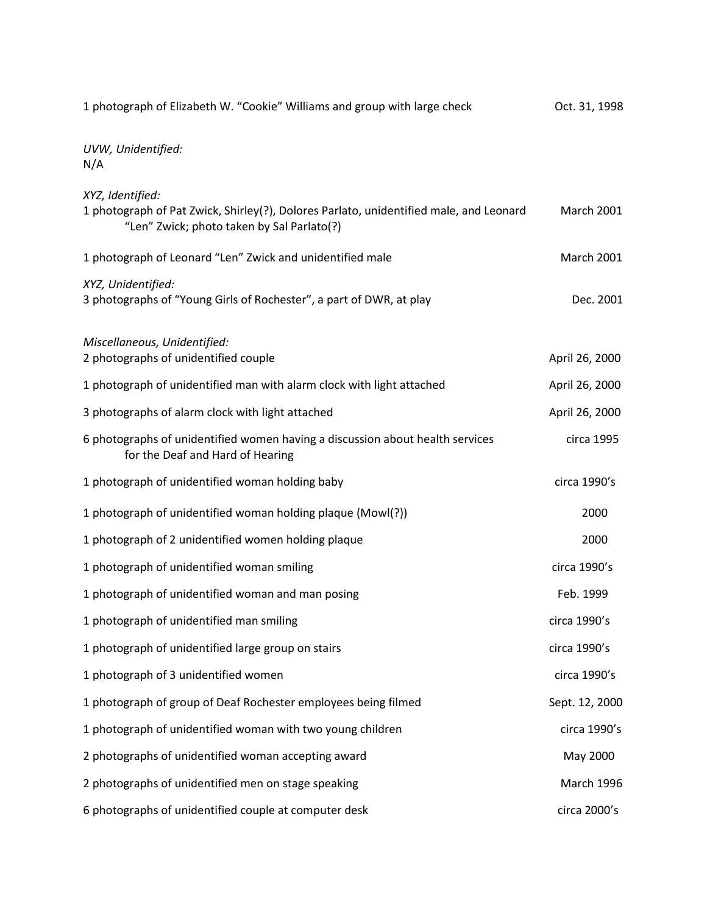| 1 photograph of Elizabeth W. "Cookie" Williams and group with large check                                                                                | Oct. 31, 1998     |
|----------------------------------------------------------------------------------------------------------------------------------------------------------|-------------------|
| UVW, Unidentified:<br>N/A                                                                                                                                |                   |
| XYZ, Identified:<br>1 photograph of Pat Zwick, Shirley(?), Dolores Parlato, unidentified male, and Leonard<br>"Len" Zwick; photo taken by Sal Parlato(?) | <b>March 2001</b> |
| 1 photograph of Leonard "Len" Zwick and unidentified male                                                                                                | <b>March 2001</b> |
| XYZ, Unidentified:<br>3 photographs of "Young Girls of Rochester", a part of DWR, at play                                                                | Dec. 2001         |
| Miscellaneous, Unidentified:<br>2 photographs of unidentified couple                                                                                     | April 26, 2000    |
| 1 photograph of unidentified man with alarm clock with light attached                                                                                    | April 26, 2000    |
| 3 photographs of alarm clock with light attached                                                                                                         | April 26, 2000    |
| 6 photographs of unidentified women having a discussion about health services<br>for the Deaf and Hard of Hearing                                        | circa 1995        |
| 1 photograph of unidentified woman holding baby                                                                                                          | circa 1990's      |
| 1 photograph of unidentified woman holding plaque (Mowl(?))                                                                                              | 2000              |
| 1 photograph of 2 unidentified women holding plaque                                                                                                      | 2000              |
| 1 photograph of unidentified woman smiling                                                                                                               | circa 1990's      |
| 1 photograph of unidentified woman and man posing                                                                                                        | Feb. 1999         |
| 1 photograph of unidentified man smiling                                                                                                                 | circa 1990's      |
| 1 photograph of unidentified large group on stairs                                                                                                       | circa 1990's      |
| 1 photograph of 3 unidentified women                                                                                                                     | circa 1990's      |
| 1 photograph of group of Deaf Rochester employees being filmed                                                                                           | Sept. 12, 2000    |
| 1 photograph of unidentified woman with two young children                                                                                               | circa 1990's      |
| 2 photographs of unidentified woman accepting award                                                                                                      | May 2000          |
| 2 photographs of unidentified men on stage speaking                                                                                                      | March 1996        |
| 6 photographs of unidentified couple at computer desk                                                                                                    | circa 2000's      |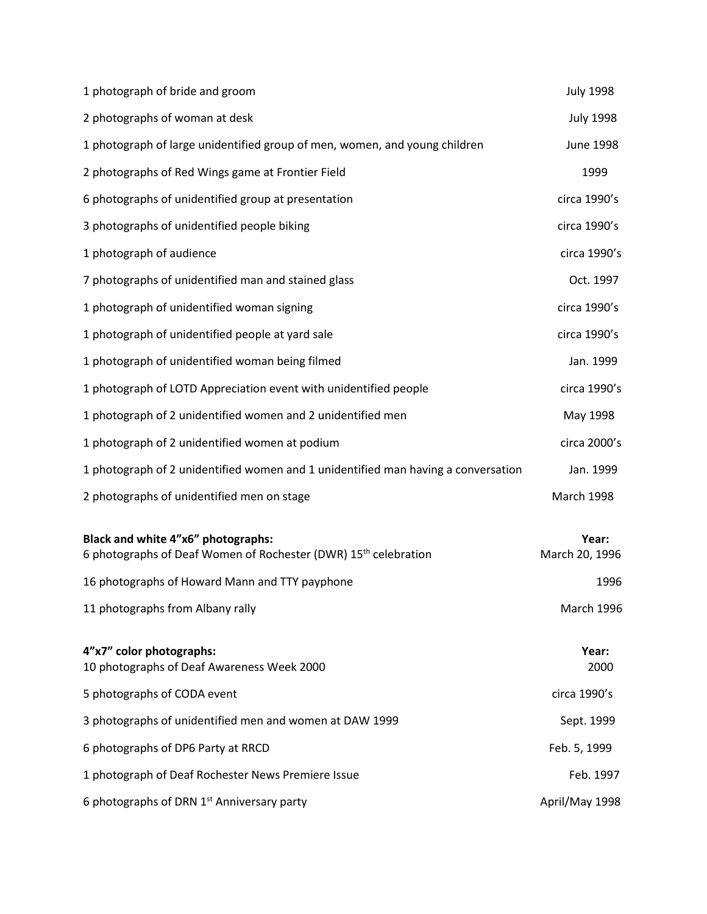| 1 photograph of bride and groom                                                                                   | <b>July 1998</b>        |
|-------------------------------------------------------------------------------------------------------------------|-------------------------|
| 2 photographs of woman at desk                                                                                    | <b>July 1998</b>        |
| 1 photograph of large unidentified group of men, women, and young children                                        | <b>June 1998</b>        |
| 2 photographs of Red Wings game at Frontier Field                                                                 | 1999                    |
| 6 photographs of unidentified group at presentation                                                               | circa 1990's            |
| 3 photographs of unidentified people biking                                                                       | circa 1990's            |
| 1 photograph of audience                                                                                          | circa 1990's            |
| 7 photographs of unidentified man and stained glass                                                               | Oct. 1997               |
| 1 photograph of unidentified woman signing                                                                        | circa 1990's            |
| 1 photograph of unidentified people at yard sale                                                                  | circa 1990's            |
| 1 photograph of unidentified woman being filmed                                                                   | Jan. 1999               |
| 1 photograph of LOTD Appreciation event with unidentified people                                                  | circa 1990's            |
| 1 photograph of 2 unidentified women and 2 unidentified men                                                       | May 1998                |
| 1 photograph of 2 unidentified women at podium                                                                    | circa 2000's            |
| 1 photograph of 2 unidentified women and 1 unidentified man having a conversation                                 | Jan. 1999               |
| 2 photographs of unidentified men on stage                                                                        | March 1998              |
| Black and white 4"x6" photographs:<br>6 photographs of Deaf Women of Rochester (DWR) 15 <sup>th</sup> celebration | Year:<br>March 20, 1996 |
| 16 photographs of Howard Mann and TTY payphone                                                                    | 1996                    |
| 11 photographs from Albany rally                                                                                  | March 1996              |
| 4"x7" color photographs:<br>10 photographs of Deaf Awareness Week 2000                                            | Year:<br>2000           |
| 5 photographs of CODA event                                                                                       | circa 1990's            |
| 3 photographs of unidentified men and women at DAW 1999                                                           | Sept. 1999              |
| 6 photographs of DP6 Party at RRCD                                                                                | Feb. 5, 1999            |
| 1 photograph of Deaf Rochester News Premiere Issue                                                                | Feb. 1997               |
| 6 photographs of DRN 1 <sup>st</sup> Anniversary party                                                            | April/May 1998          |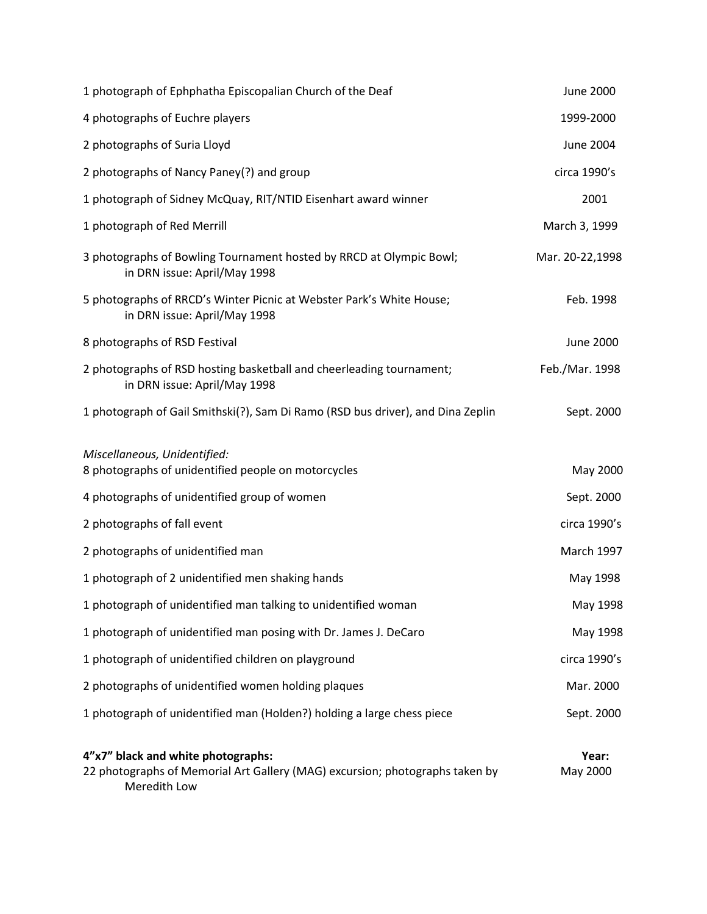| 1 photograph of Ephphatha Episcopalian Church of the Deaf                                                                          | <b>June 2000</b>  |
|------------------------------------------------------------------------------------------------------------------------------------|-------------------|
| 4 photographs of Euchre players                                                                                                    | 1999-2000         |
| 2 photographs of Suria Lloyd                                                                                                       | <b>June 2004</b>  |
| 2 photographs of Nancy Paney(?) and group                                                                                          | circa 1990's      |
| 1 photograph of Sidney McQuay, RIT/NTID Eisenhart award winner                                                                     | 2001              |
| 1 photograph of Red Merrill                                                                                                        | March 3, 1999     |
| 3 photographs of Bowling Tournament hosted by RRCD at Olympic Bowl;<br>in DRN issue: April/May 1998                                | Mar. 20-22,1998   |
| 5 photographs of RRCD's Winter Picnic at Webster Park's White House;<br>in DRN issue: April/May 1998                               | Feb. 1998         |
| 8 photographs of RSD Festival                                                                                                      | <b>June 2000</b>  |
| 2 photographs of RSD hosting basketball and cheerleading tournament;<br>in DRN issue: April/May 1998                               | Feb./Mar. 1998    |
| 1 photograph of Gail Smithski(?), Sam Di Ramo (RSD bus driver), and Dina Zeplin                                                    | Sept. 2000        |
| Miscellaneous, Unidentified:<br>8 photographs of unidentified people on motorcycles                                                | May 2000          |
| 4 photographs of unidentified group of women                                                                                       | Sept. 2000        |
| 2 photographs of fall event                                                                                                        | circa 1990's      |
| 2 photographs of unidentified man                                                                                                  | March 1997        |
| 1 photograph of 2 unidentified men shaking hands                                                                                   | May 1998          |
| 1 photograph of unidentified man talking to unidentified woman                                                                     | May 1998          |
| 1 photograph of unidentified man posing with Dr. James J. DeCaro                                                                   | May 1998          |
| 1 photograph of unidentified children on playground                                                                                | circa 1990's      |
| 2 photographs of unidentified women holding plaques                                                                                | Mar. 2000         |
| 1 photograph of unidentified man (Holden?) holding a large chess piece                                                             | Sept. 2000        |
| 4"x7" black and white photographs:<br>22 photographs of Memorial Art Gallery (MAG) excursion; photographs taken by<br>Meredith Low | Year:<br>May 2000 |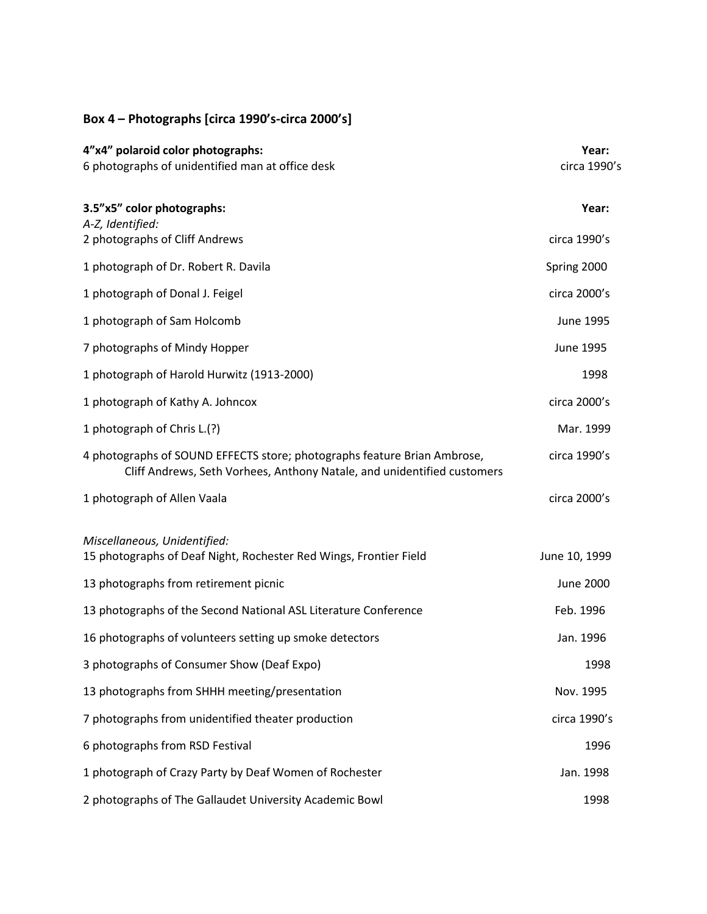# **Box 4 – Photographs [circa 1990's-circa 2000's]**

| 4"x4" polaroid color photographs:<br>6 photographs of unidentified man at office desk                                                               | Year:<br>circa 1990's |
|-----------------------------------------------------------------------------------------------------------------------------------------------------|-----------------------|
| 3.5"x5" color photographs:                                                                                                                          | Year:                 |
| A-Z, Identified:<br>2 photographs of Cliff Andrews                                                                                                  | circa 1990's          |
| 1 photograph of Dr. Robert R. Davila                                                                                                                | Spring 2000           |
| 1 photograph of Donal J. Feigel                                                                                                                     | circa 2000's          |
| 1 photograph of Sam Holcomb                                                                                                                         | June 1995             |
| 7 photographs of Mindy Hopper                                                                                                                       | June 1995             |
| 1 photograph of Harold Hurwitz (1913-2000)                                                                                                          | 1998                  |
| 1 photograph of Kathy A. Johncox                                                                                                                    | circa 2000's          |
| 1 photograph of Chris L.(?)                                                                                                                         | Mar. 1999             |
| 4 photographs of SOUND EFFECTS store; photographs feature Brian Ambrose,<br>Cliff Andrews, Seth Vorhees, Anthony Natale, and unidentified customers | circa 1990's          |
| 1 photograph of Allen Vaala                                                                                                                         | circa 2000's          |
| Miscellaneous, Unidentified:<br>15 photographs of Deaf Night, Rochester Red Wings, Frontier Field                                                   | June 10, 1999         |
| 13 photographs from retirement picnic                                                                                                               | <b>June 2000</b>      |
| 13 photographs of the Second National ASL Literature Conference                                                                                     | Feb. 1996             |
| 16 photographs of volunteers setting up smoke detectors                                                                                             | Jan. 1996             |
| 3 photographs of Consumer Show (Deaf Expo)                                                                                                          | 1998                  |
| 13 photographs from SHHH meeting/presentation                                                                                                       | Nov. 1995             |
| 7 photographs from unidentified theater production                                                                                                  | circa 1990's          |
| 6 photographs from RSD Festival                                                                                                                     | 1996                  |
| 1 photograph of Crazy Party by Deaf Women of Rochester                                                                                              | Jan. 1998             |
| 2 photographs of The Gallaudet University Academic Bowl                                                                                             | 1998                  |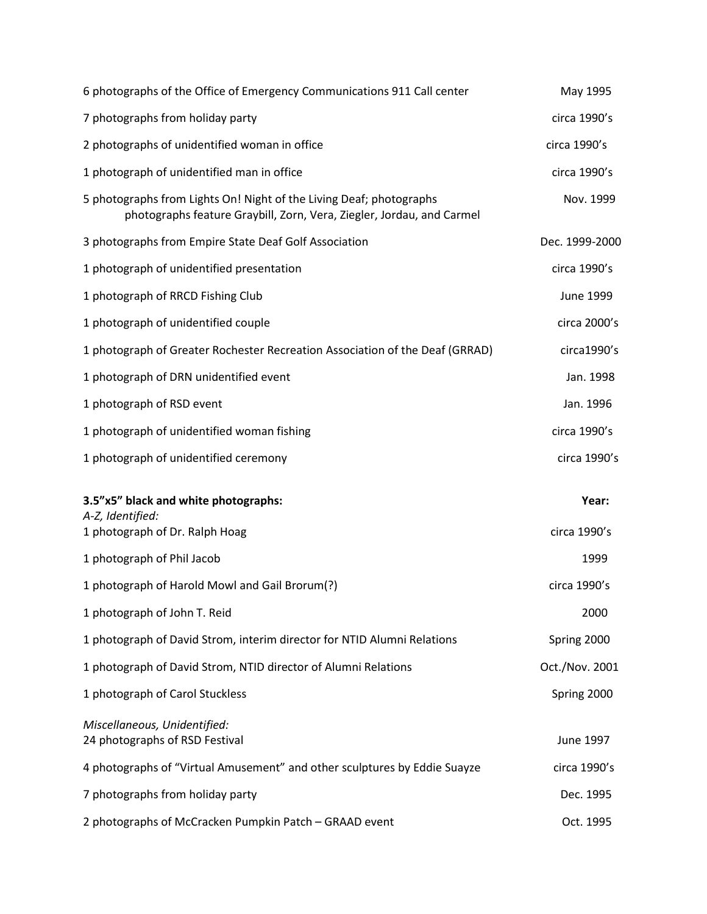| 6 photographs of the Office of Emergency Communications 911 Call center                                                                      | May 1995       |
|----------------------------------------------------------------------------------------------------------------------------------------------|----------------|
| 7 photographs from holiday party                                                                                                             | circa 1990's   |
| 2 photographs of unidentified woman in office                                                                                                | circa 1990's   |
| 1 photograph of unidentified man in office                                                                                                   | circa 1990's   |
| 5 photographs from Lights On! Night of the Living Deaf; photographs<br>photographs feature Graybill, Zorn, Vera, Ziegler, Jordau, and Carmel | Nov. 1999      |
| 3 photographs from Empire State Deaf Golf Association                                                                                        | Dec. 1999-2000 |
| 1 photograph of unidentified presentation                                                                                                    | circa 1990's   |
| 1 photograph of RRCD Fishing Club                                                                                                            | June 1999      |
| 1 photograph of unidentified couple                                                                                                          | circa 2000's   |
| 1 photograph of Greater Rochester Recreation Association of the Deaf (GRRAD)                                                                 | circa1990's    |
| 1 photograph of DRN unidentified event                                                                                                       | Jan. 1998      |
| 1 photograph of RSD event                                                                                                                    | Jan. 1996      |
| 1 photograph of unidentified woman fishing                                                                                                   | circa 1990's   |
| 1 photograph of unidentified ceremony                                                                                                        | circa 1990's   |
|                                                                                                                                              |                |
| 3.5"x5" black and white photographs:<br>A-Z, Identified:                                                                                     | Year:          |
| 1 photograph of Dr. Ralph Hoag                                                                                                               | circa 1990's   |
| 1 photograph of Phil Jacob                                                                                                                   | 1999           |
| 1 photograph of Harold Mowl and Gail Brorum(?)                                                                                               | circa 1990's   |
| 1 photograph of John T. Reid                                                                                                                 | 2000           |
| 1 photograph of David Strom, interim director for NTID Alumni Relations                                                                      | Spring 2000    |
| 1 photograph of David Strom, NTID director of Alumni Relations                                                                               | Oct./Nov. 2001 |
| 1 photograph of Carol Stuckless                                                                                                              | Spring 2000    |
| Miscellaneous, Unidentified:<br>24 photographs of RSD Festival                                                                               | June 1997      |
| 4 photographs of "Virtual Amusement" and other sculptures by Eddie Suayze                                                                    | circa 1990's   |
| 7 photographs from holiday party                                                                                                             | Dec. 1995      |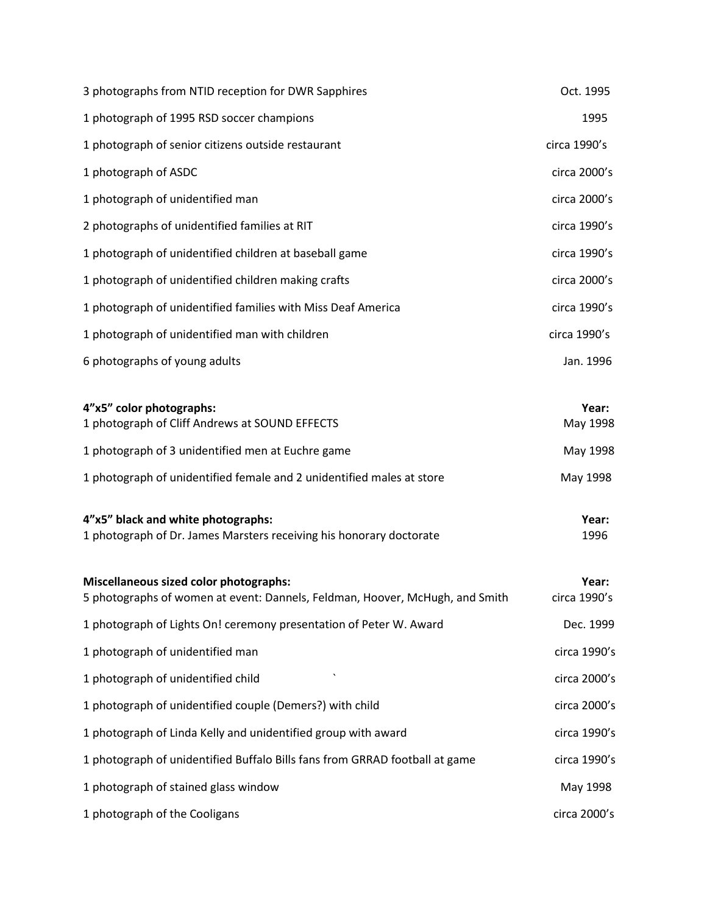| 3 photographs from NTID reception for DWR Sapphires                                                                    | Oct. 1995             |
|------------------------------------------------------------------------------------------------------------------------|-----------------------|
| 1 photograph of 1995 RSD soccer champions                                                                              | 1995                  |
| 1 photograph of senior citizens outside restaurant                                                                     | circa 1990's          |
| 1 photograph of ASDC                                                                                                   | circa 2000's          |
| 1 photograph of unidentified man                                                                                       | circa 2000's          |
| 2 photographs of unidentified families at RIT                                                                          | circa 1990's          |
| 1 photograph of unidentified children at baseball game                                                                 | circa 1990's          |
| 1 photograph of unidentified children making crafts                                                                    | circa 2000's          |
| 1 photograph of unidentified families with Miss Deaf America                                                           | circa 1990's          |
| 1 photograph of unidentified man with children                                                                         | circa 1990's          |
| 6 photographs of young adults                                                                                          | Jan. 1996             |
| 4"x5" color photographs:<br>1 photograph of Cliff Andrews at SOUND EFFECTS                                             | Year:<br>May 1998     |
| 1 photograph of 3 unidentified men at Euchre game                                                                      | May 1998              |
| 1 photograph of unidentified female and 2 unidentified males at store                                                  | May 1998              |
| 4"x5" black and white photographs:<br>1 photograph of Dr. James Marsters receiving his honorary doctorate              | Year:<br>1996         |
| Miscellaneous sized color photographs:<br>5 photographs of women at event: Dannels, Feldman, Hoover, McHugh, and Smith | Year:<br>circa 1990's |
| 1 photograph of Lights On! ceremony presentation of Peter W. Award                                                     | Dec. 1999             |
| 1 photograph of unidentified man                                                                                       | circa 1990's          |
| 1 photograph of unidentified child                                                                                     | circa 2000's          |
| 1 photograph of unidentified couple (Demers?) with child                                                               | circa 2000's          |
| 1 photograph of Linda Kelly and unidentified group with award                                                          | circa 1990's          |
| 1 photograph of unidentified Buffalo Bills fans from GRRAD football at game                                            | circa 1990's          |
| 1 photograph of stained glass window                                                                                   | May 1998              |
| 1 photograph of the Cooligans                                                                                          | circa 2000's          |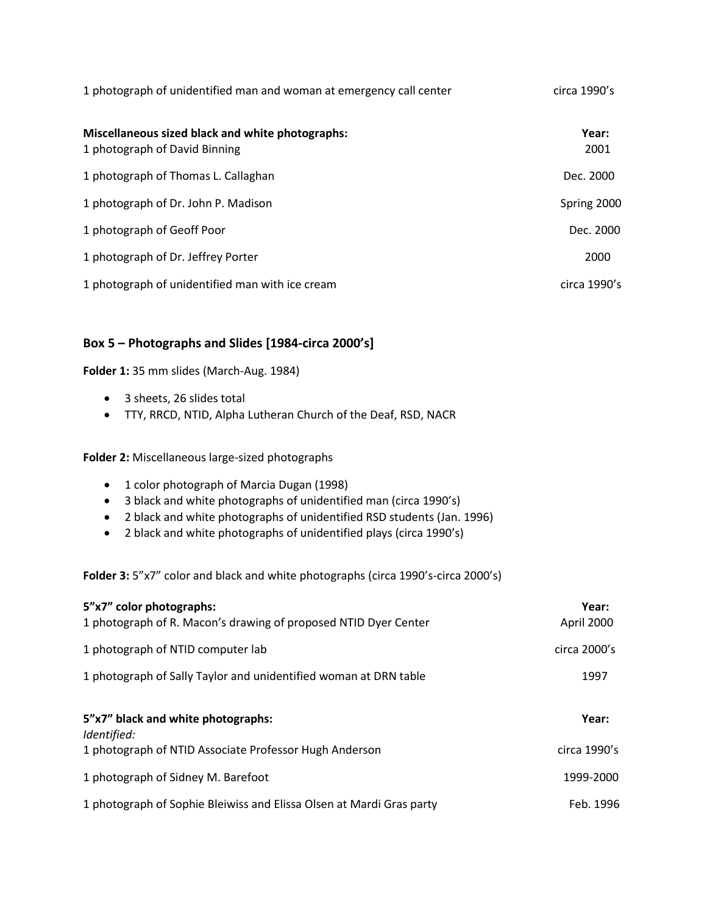| 1 photograph of unidentified man and woman at emergency call center               | circa 1990's  |
|-----------------------------------------------------------------------------------|---------------|
| Miscellaneous sized black and white photographs:<br>1 photograph of David Binning | Year:<br>2001 |
| 1 photograph of Thomas L. Callaghan                                               | Dec. 2000     |
| 1 photograph of Dr. John P. Madison                                               | Spring 2000   |
| 1 photograph of Geoff Poor                                                        | Dec. 2000     |
| 1 photograph of Dr. Jeffrey Porter                                                | 2000          |
| 1 photograph of unidentified man with ice cream                                   | circa 1990's  |

# **Box 5 – Photographs and Slides [1984-circa 2000's]**

**Folder 1:** 35 mm slides (March-Aug. 1984)

- 3 sheets, 26 slides total
- TTY, RRCD, NTID, Alpha Lutheran Church of the Deaf, RSD, NACR

**Folder 2:** Miscellaneous large-sized photographs

- 1 color photograph of Marcia Dugan (1998)
- 3 black and white photographs of unidentified man (circa 1990's)
- 2 black and white photographs of unidentified RSD students (Jan. 1996)
- 2 black and white photographs of unidentified plays (circa 1990's)

**Folder 3:** 5"x7" color and black and white photographs (circa 1990's-circa 2000's)

| 5"x7" color photographs:<br>1 photograph of R. Macon's drawing of proposed NTID Dyer Center | Year:<br>April 2000 |
|---------------------------------------------------------------------------------------------|---------------------|
| 1 photograph of NTID computer lab                                                           | circa $2000$ 's     |
| 1 photograph of Sally Taylor and unidentified woman at DRN table                            | 1997                |
| 5"x7" black and white photographs:<br>Identified:                                           | Year:               |
| 1 photograph of NTID Associate Professor Hugh Anderson                                      | circa 1990's        |
| 1 photograph of Sidney M. Barefoot                                                          | 1999-2000           |
| 1 photograph of Sophie Bleiwiss and Elissa Olsen at Mardi Gras party                        | Feb. 1996           |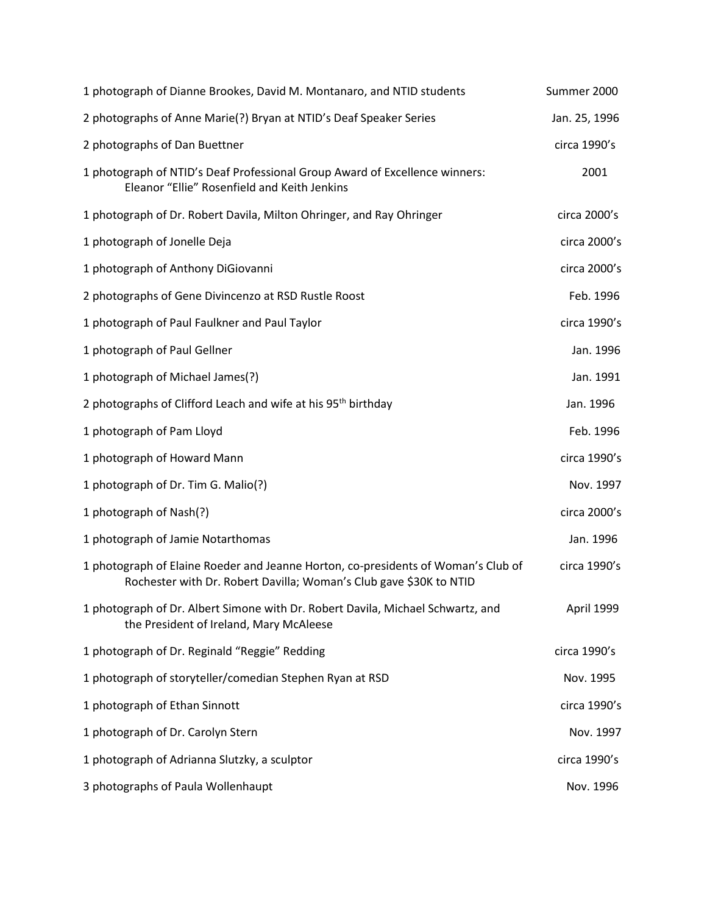| 1 photograph of Dianne Brookes, David M. Montanaro, and NTID students                                                                                   | Summer 2000   |
|---------------------------------------------------------------------------------------------------------------------------------------------------------|---------------|
| 2 photographs of Anne Marie(?) Bryan at NTID's Deaf Speaker Series                                                                                      | Jan. 25, 1996 |
| 2 photographs of Dan Buettner                                                                                                                           | circa 1990's  |
| 1 photograph of NTID's Deaf Professional Group Award of Excellence winners:<br>Eleanor "Ellie" Rosenfield and Keith Jenkins                             | 2001          |
| 1 photograph of Dr. Robert Davila, Milton Ohringer, and Ray Ohringer                                                                                    | circa 2000's  |
| 1 photograph of Jonelle Deja                                                                                                                            | circa 2000's  |
| 1 photograph of Anthony DiGiovanni                                                                                                                      | circa 2000's  |
| 2 photographs of Gene Divincenzo at RSD Rustle Roost                                                                                                    | Feb. 1996     |
| 1 photograph of Paul Faulkner and Paul Taylor                                                                                                           | circa 1990's  |
| 1 photograph of Paul Gellner                                                                                                                            | Jan. 1996     |
| 1 photograph of Michael James(?)                                                                                                                        | Jan. 1991     |
| 2 photographs of Clifford Leach and wife at his 95 <sup>th</sup> birthday                                                                               | Jan. 1996     |
| 1 photograph of Pam Lloyd                                                                                                                               | Feb. 1996     |
| 1 photograph of Howard Mann                                                                                                                             | circa 1990's  |
| 1 photograph of Dr. Tim G. Malio(?)                                                                                                                     | Nov. 1997     |
| 1 photograph of Nash(?)                                                                                                                                 | circa 2000's  |
| 1 photograph of Jamie Notarthomas                                                                                                                       | Jan. 1996     |
| 1 photograph of Elaine Roeder and Jeanne Horton, co-presidents of Woman's Club of<br>Rochester with Dr. Robert Davilla; Woman's Club gave \$30K to NTID | circa 1990's  |
| 1 photograph of Dr. Albert Simone with Dr. Robert Davila, Michael Schwartz, and<br>the President of Ireland, Mary McAleese                              | April 1999    |
| 1 photograph of Dr. Reginald "Reggie" Redding                                                                                                           | circa 1990's  |
| 1 photograph of storyteller/comedian Stephen Ryan at RSD                                                                                                | Nov. 1995     |
| 1 photograph of Ethan Sinnott                                                                                                                           | circa 1990's  |
| 1 photograph of Dr. Carolyn Stern                                                                                                                       | Nov. 1997     |
| 1 photograph of Adrianna Slutzky, a sculptor                                                                                                            | circa 1990's  |
| 3 photographs of Paula Wollenhaupt                                                                                                                      | Nov. 1996     |